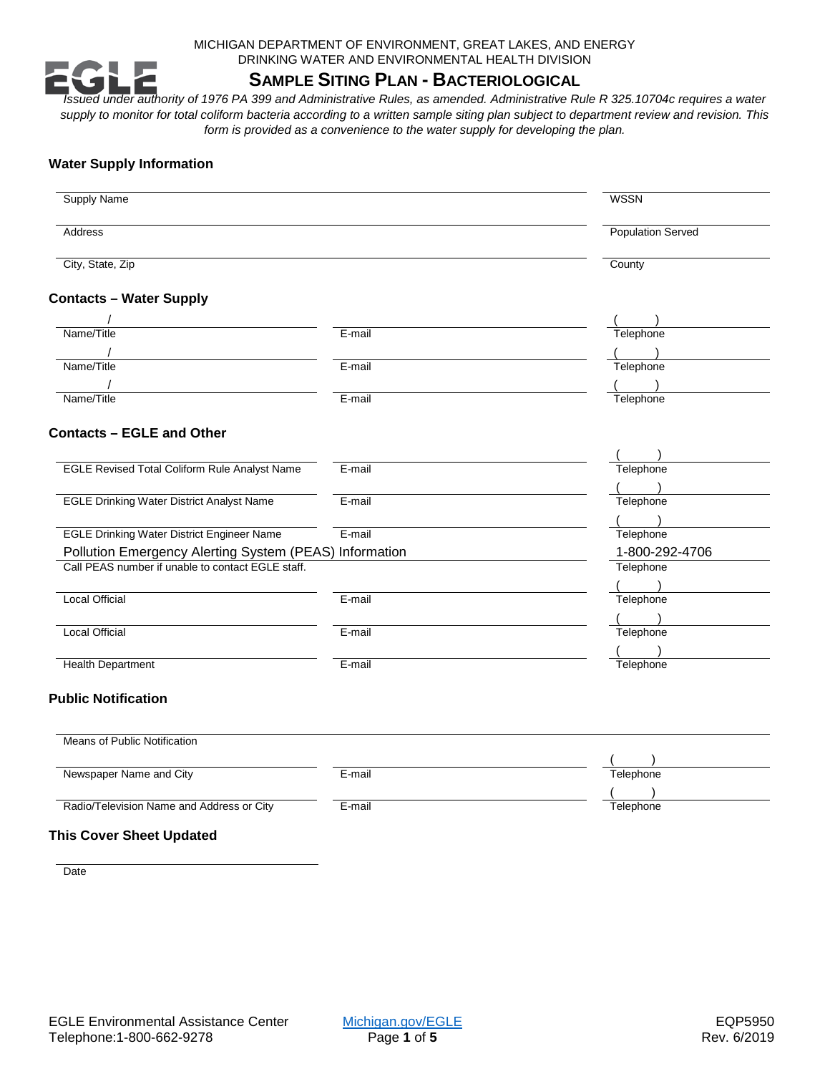MICHIGAN DEPARTMENT OF ENVIRONMENT, GREAT LAKES, AND ENERGY DRINKING WATER AND ENVIRONMENTAL HEALTH DIVISION

# **SAMPLE SITING PLAN - BACTERIOLOGICAL**

*Issued under authority of 1976 PA 399 and Administrative Rules, as amended. Administrative Rule R 325.10704c requires a water supply to monitor for total coliform bacteria according to a written sample siting plan subject to department review and revision. This form is provided as a convenience to the water supply for developing the plan.*

## **Water Supply Information**

| <b>Supply Name</b>                                                                                          |        | <b>WSSN</b>              |
|-------------------------------------------------------------------------------------------------------------|--------|--------------------------|
| Address                                                                                                     |        | <b>Population Served</b> |
| City, State, Zip                                                                                            |        | County                   |
| <b>Contacts - Water Supply</b>                                                                              |        |                          |
|                                                                                                             |        |                          |
| Name/Title                                                                                                  | E-mail | Telephone                |
|                                                                                                             |        |                          |
| Name/Title                                                                                                  | E-mail | Telephone                |
|                                                                                                             |        |                          |
| Name/Title                                                                                                  | E-mail | Telephone                |
| <b>Contacts - EGLE and Other</b>                                                                            |        |                          |
|                                                                                                             |        |                          |
| <b>EGLE Revised Total Coliform Rule Analyst Name</b>                                                        | E-mail | Telephone                |
|                                                                                                             |        |                          |
| <b>EGLE Drinking Water District Analyst Name</b>                                                            | E-mail | Telephone                |
|                                                                                                             |        |                          |
| <b>EGLE Drinking Water District Engineer Name</b>                                                           | E-mail | Telephone                |
|                                                                                                             |        | 1-800-292-4706           |
| Pollution Emergency Alerting System (PEAS) Information<br>Call PEAS number if unable to contact EGLE staff. |        | Telephone                |
|                                                                                                             |        | $\overline{\phantom{a}}$ |
| <b>Local Official</b>                                                                                       | E-mail | Telephone                |
|                                                                                                             |        |                          |
| <b>Local Official</b>                                                                                       | E-mail | Telephone                |
|                                                                                                             |        |                          |
| <b>Health Department</b>                                                                                    | E-mail | Telephone                |
| <b>Public Notification</b>                                                                                  |        |                          |
| Means of Public Notification                                                                                |        |                          |
|                                                                                                             |        |                          |
| Newspaper Name and City                                                                                     | E-mail | Telephone                |
|                                                                                                             |        |                          |
| Radio/Television Name and Address or City                                                                   | E-mail | Telephone                |

**Date**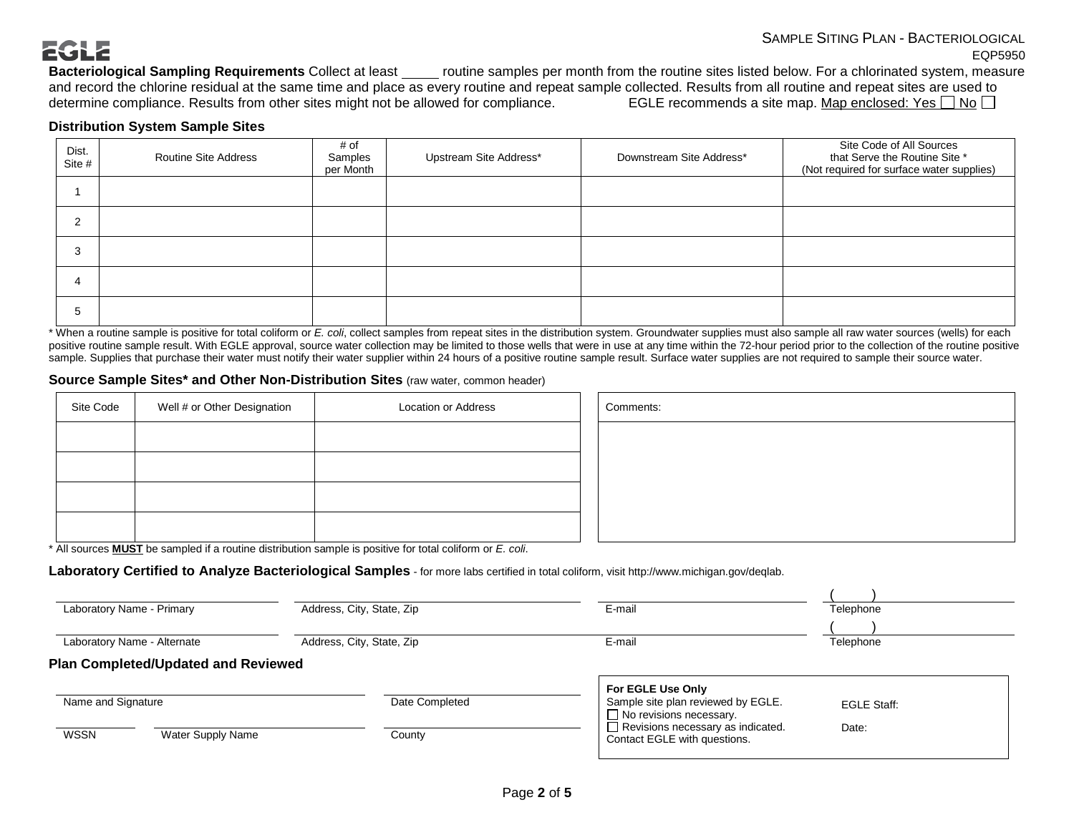# **EGLE**

**Bacteriological Sampling Requirements** Collect at least routine samples per month from the routine sites listed below. For a chlorinated system, measure and record the chlorine residual at the same time and place as every routine and repeat sample collected. Results from all routine and repeat sites are used to determine compliance. Results from other sites might not be a determine compliance. Results from other sites might not be allowed for compliance.

#### **Distribution System Sample Sites**

| Dist.<br>Site # | <b>Routine Site Address</b> | # of<br>Samples<br>per Month | Upstream Site Address* | Downstream Site Address* | Site Code of All Sources<br>that Serve the Routine Site *<br>(Not required for surface water supplies) |
|-----------------|-----------------------------|------------------------------|------------------------|--------------------------|--------------------------------------------------------------------------------------------------------|
|                 |                             |                              |                        |                          |                                                                                                        |
| $\sim$<br>∼     |                             |                              |                        |                          |                                                                                                        |
| 3               |                             |                              |                        |                          |                                                                                                        |
| 4               |                             |                              |                        |                          |                                                                                                        |
| 5               |                             |                              |                        |                          |                                                                                                        |

\* When a routine sample is positive for total coliform or *E. coli*, collect samples from repeat sites in the distribution system. Groundwater supplies must also sample all raw water sources (wells) for each positive routine sample result. With EGLE approval, source water collection may be limited to those wells that were in use at any time within the 72-hour period prior to the collection of the routine positive sample. Supplies that purchase their water must notify their water supplier within 24 hours of a positive routine sample result. Surface water supplies are not required to sample their source water.

#### **Source Sample Sites\* and Other Non-Distribution Sites** (raw water, common header)

| Site Code | Well # or Other Designation | <b>Location or Address</b> | Comments: |
|-----------|-----------------------------|----------------------------|-----------|
|           |                             |                            |           |
|           |                             |                            |           |
|           |                             |                            |           |
|           |                             |                            |           |

| Comments: |  |  |  |
|-----------|--|--|--|
|           |  |  |  |
|           |  |  |  |
|           |  |  |  |
|           |  |  |  |

\* All sources **MUST** be sampled if a routine distribution sample is positive for total coliform or *E. coli*.

**Laboratory Certified to Analyze Bacteriological Samples** - for more labs certified in total coliform, visit http://www.michigan.gov/deqlab.

| Laboratory Name - Primary                  | Address, City, State, Zip | E-mail                                                                                    | Telephone          |
|--------------------------------------------|---------------------------|-------------------------------------------------------------------------------------------|--------------------|
| Laboratory Name - Alternate                | Address, City, State, Zip | E-mail                                                                                    | Telephone          |
| <b>Plan Completed/Updated and Reviewed</b> |                           |                                                                                           |                    |
| Name and Signature                         | Date Completed            | For EGLE Use Only<br>Sample site plan reviewed by EGLE.<br>$\Box$ No revisions necessary. | <b>EGLE Staff:</b> |
| <b>WSSN</b><br>Water Supply Name           | County                    | $\Box$ Revisions necessary as indicated.<br>Contact EGLE with questions.                  | Date:              |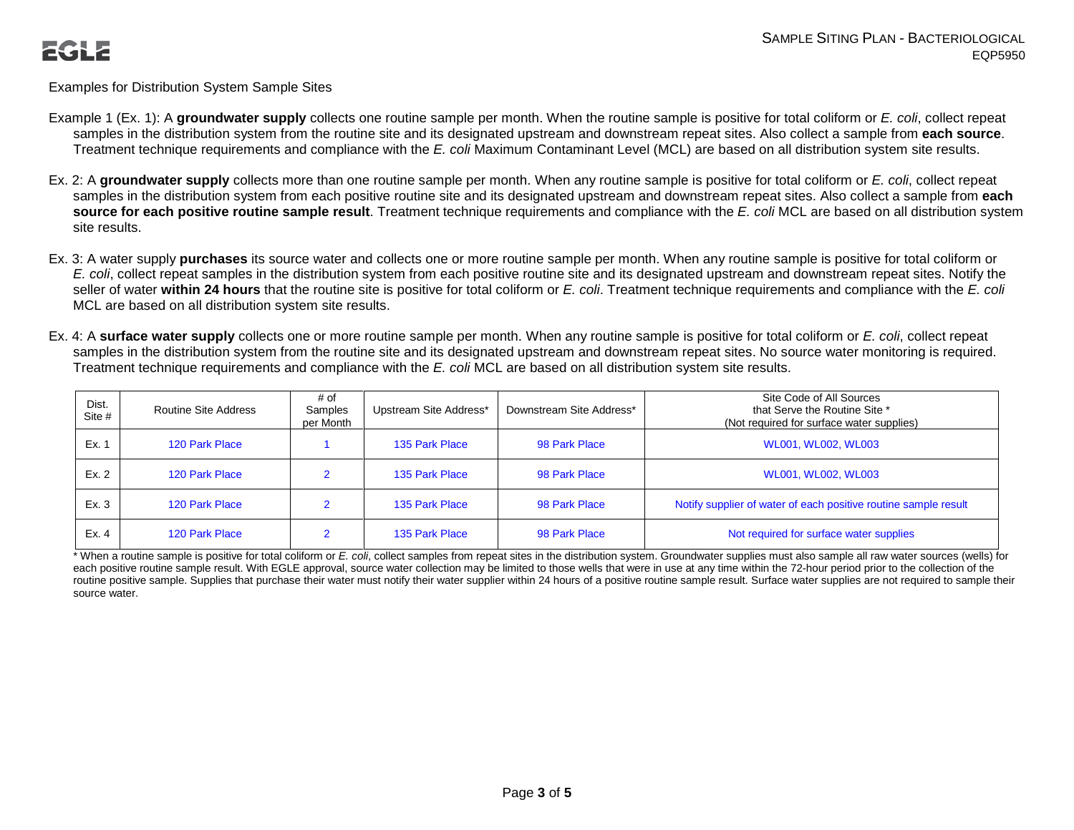Examples for Distribution System Sample Sites

- Example 1 (Ex. 1): A **groundwater supply** collects one routine sample per month. When the routine sample is positive for total coliform or *E. coli*, collect repeat samples in the distribution system from the routine site and its designated upstream and downstream repeat sites. Also collect a sample from **each source**. Treatment technique requirements and compliance with the *E. coli* Maximum Contaminant Level (MCL) are based on all distribution system site results.
- Ex. 2: A **groundwater supply** collects more than one routine sample per month. When any routine sample is positive for total coliform or *E. coli*, collect repeat samples in the distribution system from each positive routine site and its designated upstream and downstream repeat sites. Also collect a sample from **each source for each positive routine sample result**. Treatment technique requirements and compliance with the *E. coli* MCL are based on all distribution system site results.
- Ex. 3: A water supply **purchases** its source water and collects one or more routine sample per month. When any routine sample is positive for total coliform or *E. coli*, collect repeat samples in the distribution system from each positive routine site and its designated upstream and downstream repeat sites. Notify the seller of water **within 24 hours** that the routine site is positive for total coliform or *E. coli*. Treatment technique requirements and compliance with the *E. coli* MCL are based on all distribution system site results.
- Ex. 4: A **surface water supply** collects one or more routine sample per month. When any routine sample is positive for total coliform or *E. coli*, collect repeat samples in the distribution system from the routine site and its designated upstream and downstream repeat sites. No source water monitoring is required. Treatment technique requirements and compliance with the *E. coli* MCL are based on all distribution system site results.

| Dist.<br>Site # | Routine Site Address | # of<br>Samples<br>per Month | Upstream Site Address* | Downstream Site Address* | Site Code of All Sources<br>that Serve the Routine Site *<br>(Not required for surface water supplies) |
|-----------------|----------------------|------------------------------|------------------------|--------------------------|--------------------------------------------------------------------------------------------------------|
| Ex.             | 120 Park Place       |                              | 135 Park Place         | 98 Park Place            | WL001, WL002, WL003                                                                                    |
| Ex. 2           | 120 Park Place       |                              | 135 Park Place         | 98 Park Place            | WL001, WL002, WL003                                                                                    |
| Ex. 3           | 120 Park Place       |                              | 135 Park Place         | 98 Park Place            | Notify supplier of water of each positive routine sample result                                        |
| Ex. 4           | 120 Park Place       |                              | 135 Park Place         | 98 Park Place            | Not required for surface water supplies                                                                |

\* When a routine sample is positive for total coliform or *E. coli*, collect samples from repeat sites in the distribution system. Groundwater supplies must also sample all raw water sources (wells) for each positive routine sample result. With EGLE approval, source water collection may be limited to those wells that were in use at any time within the 72-hour period prior to the collection of the routine positive sample. Supplies that purchase their water must notify their water supplier within 24 hours of a positive routine sample result. Surface water supplies are not required to sample their source water.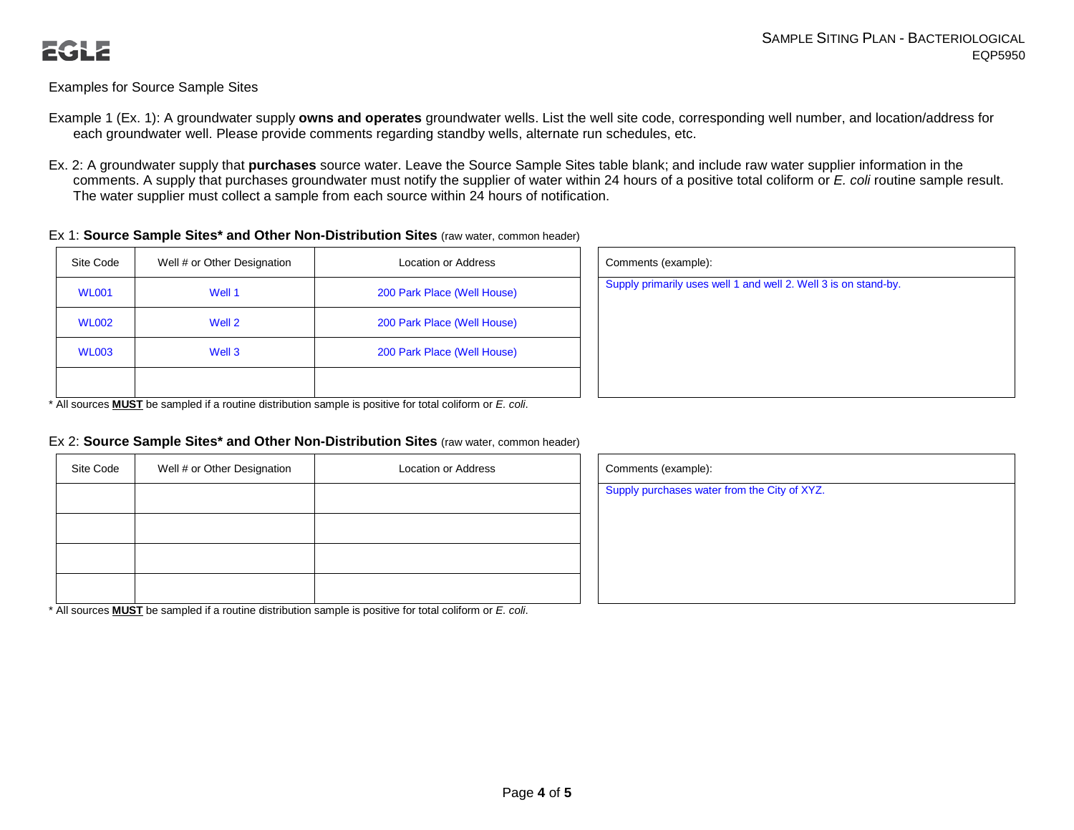## Examples for Source Sample Sites

- Example 1 (Ex. 1): A groundwater supply **owns and operates** groundwater wells. List the well site code, corresponding well number, and location/address for each groundwater well. Please provide comments regarding standby wells, alternate run schedules, etc.
- Ex. 2: A groundwater supply that **purchases** source water. Leave the Source Sample Sites table blank; and include raw water supplier information in the comments. A supply that purchases groundwater must notify the supplier of water within 24 hours of a positive total coliform or *E. coli* routine sample result. The water supplier must collect a sample from each source within 24 hours of notification.

#### Ex 1: **Source Sample Sites\* and Other Non-Distribution Sites** (raw water, common header)

| Site Code    | Well # or Other Designation | Location or Address         | Comments (example):                                             |
|--------------|-----------------------------|-----------------------------|-----------------------------------------------------------------|
| <b>WL001</b> | Well 1                      | 200 Park Place (Well House) | Supply primarily uses well 1 and well 2. Well 3 is on stand-by. |
| <b>WL002</b> | Well 2                      | 200 Park Place (Well House) |                                                                 |
| <b>WL003</b> | Well 3                      | 200 Park Place (Well House) |                                                                 |
|              |                             |                             |                                                                 |

| Comments (example):                                             |  |
|-----------------------------------------------------------------|--|
| Supply primarily uses well 1 and well 2. Well 3 is on stand-by. |  |
|                                                                 |  |
|                                                                 |  |
|                                                                 |  |
|                                                                 |  |

\* All sources **MUST** be sampled if a routine distribution sample is positive for total coliform or *E. coli*.

#### Ex 2: **Source Sample Sites\* and Other Non-Distribution Sites** (raw water, common header)

| Site Code | Well # or Other Designation | Location or Address | Comments (example):  |
|-----------|-----------------------------|---------------------|----------------------|
|           |                             |                     | Supply purchases wat |
|           |                             |                     |                      |
|           |                             |                     |                      |
|           |                             |                     |                      |

\* All sources **MUST** be sampled if a routine distribution sample is positive for total coliform or *E. coli*.

| Comments (example):                          |  |
|----------------------------------------------|--|
| Supply purchases water from the City of XYZ. |  |
|                                              |  |
|                                              |  |
|                                              |  |
|                                              |  |
|                                              |  |